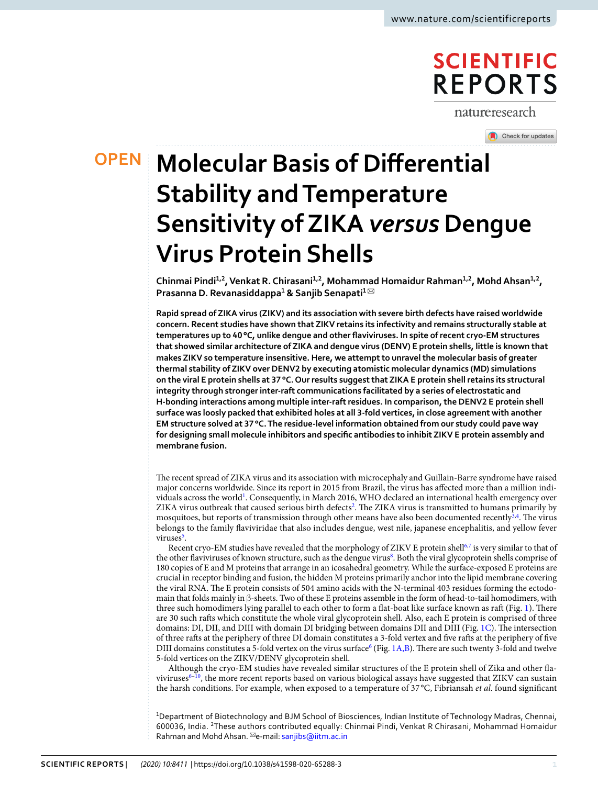# **SCIENTIFIC REPORTS**

natureresearch

**OPEN**

Check for updates

# **Molecular Basis of Differential Stability and Temperature Sensitivity of ZIKA** *versus* **Dengue Virus Protein Shells**

Chinmai Pindi<sup>1,2</sup>, Venkat R. Chirasani<sup>1,2</sup>, Mohammad Homaidur Rahman<sup>1,2</sup>, Mohd Ahsan<sup>1,2</sup>, **Prasanna D. Revanasiddappa 1 & Sanjib Senapati <sup>1</sup>** ✉

**Rapid spread of ZIKA virus (ZIKV) and its association with severe birth defects have raised worldwide concern. Recent studies have shown that ZIKV retains its infectivity and remains structurally stable at temperatures up to 40 °C, unlike dengue and other flaviviruses. In spite of recent cryo-EM structures that showed similar architecture of ZIKA and dengue virus (DENV) E protein shells, little is known that makes ZIKV so temperature insensitive. Here, we attempt to unravel the molecular basis of greater thermal stability of ZIKV over DENV2 by executing atomistic molecular dynamics (MD) simulations on the viral E protein shells at 37 °C. Our results suggest that ZIKA E protein shell retains its structural integrity through stronger inter-raft communications facilitated by a series of electrostatic and H-bonding interactions among multiple inter-raft residues. In comparison, the DENV2 E protein shell surface was loosly packed that exhibited holes at all 3-fold vertices, in close agreement with another EM structure solved at 37 °C. The residue-level information obtained from our study could pave way for designing small molecule inhibitors and specific antibodies to inhibit ZIKV E protein assembly and membrane fusion.**

The recent spread of ZIKA virus and its association with microcephaly and Guillain-Barre syndrome have raised major concerns worldwide. Since its report in 2015 from Brazil, the virus has affected more than a million indi-viduals across the world<sup>[1](#page-8-0)</sup>. Consequently, in March 2016, WHO declared an international health emergency over ZIKA virus outbreak that caused serious birth defects<sup>[2](#page-8-1)</sup>. The ZIKA virus is transmitted to humans primarily by mosquitoes, but reports of transmission through other means have also been documented recently<sup>[3,](#page-8-2)[4](#page-8-3)</sup>. The virus belongs to the family flaviviridae that also includes dengue, west nile, japanese encephalitis, and yellow fever viruses<sup>[5](#page-8-4)</sup>.

Recent cryo-EM studies have revealed that the morphology of ZIKV E protein shell<sup>[6](#page-8-5),[7](#page-8-6)</sup> is very similar to that of the other flaviviruses of known structure, such as the dengue virus<sup>[8](#page-8-7)</sup>. Both the viral glycoprotein shells comprise of 180 copies of E and M proteins that arrange in an icosahedral geometry. While the surface-exposed E proteins are crucial in receptor binding and fusion, the hidden M proteins primarily anchor into the lipid membrane covering the viral RNA. The E protein consists of 504 amino acids with the N-terminal 403 residues forming the ectodomain that folds mainly in β-sheets. Two of these E proteins assemble in the form of head-to-tail homodimers, with three such homodimers lying parallel to each other to form a flat-boat like surface known as raft (Fig. [1\)](#page-1-0). There are 30 such rafts which constitute the whole viral glycoprotein shell. Also, each E protein is comprised of three domains: DI, DII, and DIII with domain DI bridging between domains DII and DIII (Fig. [1C](#page-1-0)). The intersection of three rafts at the periphery of three DI domain constitutes a 3-fold vertex and five rafts at the periphery of five DIII domains constitutes a 5-fold vertex on the virus surface<sup>[6](#page-8-5)</sup> (Fig. [1A,B\)](#page-1-0). There are such twenty 3-fold and twelve 5-fold vertices on the ZIKV/DENV glycoprotein shell.

Although the cryo-EM studies have revealed similar structures of the E protein shell of Zika and other fla-viviruses<sup>[6–](#page-8-5)[10](#page-8-8)</sup>, the more recent reports based on various biological assays have suggested that ZIKV can sustain the harsh conditions. For example, when exposed to a temperature of 37 °C, Fibriansah et al. found significant

<sup>1</sup>Department of Biotechnology and BJM School of Biosciences, Indian Institute of Technology Madras, Chennai, 600036, India. <sup>2</sup>These authors contributed equally: Chinmai Pindi, Venkat R Chirasani, Mohammad Homaidur Rahman and Mohd Ahsan. <sup>⊠</sup>e-mail: [sanjibs@iitm.ac.in](mailto:sanjibs@iitm.ac.in)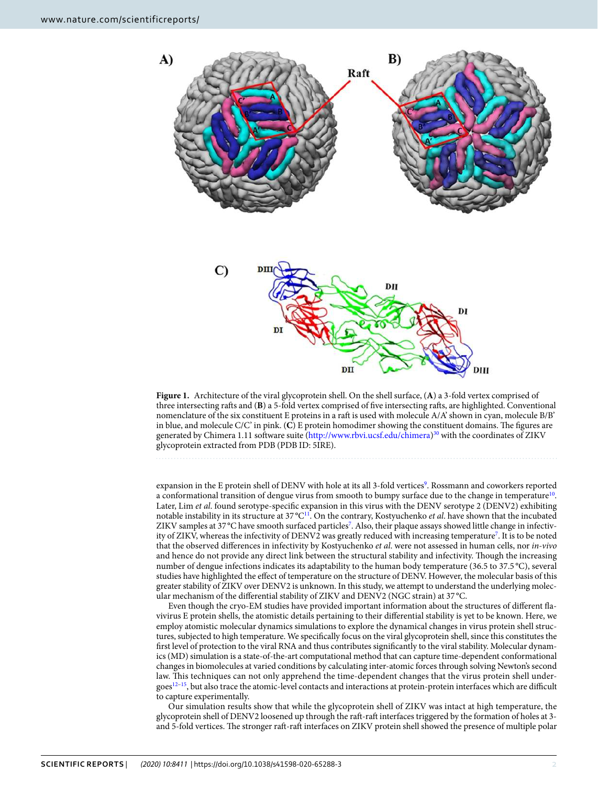

<span id="page-1-0"></span>**Figure 1.** Architecture of the viral glycoprotein shell. On the shell surface, (**A**) a 3-fold vertex comprised of three intersecting rafts and (**B**) a 5-fold vertex comprised of five intersecting rafts, are highlighted. Conventional nomenclature of the six constituent E proteins in a raft is used with molecule A/A' shown in cyan, molecule B/B' in blue, and molecule C/C' in pink. (**C**) E protein homodimer showing the constituent domains. The figures are generated by Chimera 1.11 software suite [\(http://www.rbvi.ucsf.edu/chimera\)](http://www.rbvi.ucsf.edu/chimera)<sup>[30](#page-8-13)</sup> with the coordinates of ZIKV glycoprotein extracted from PDB (PDB ID: 5IRE).

expansion in the E protein shell of DENV with hole at its all 3-fold vertices<sup>[9](#page-8-9)</sup>. Rossmann and coworkers reported a conformational transition of dengue virus from smooth to bumpy surface due to the change in temperature<sup>[10](#page-8-8)</sup>. Later, Lim et al. found serotype-specific expansion in this virus with the DENV serotype 2 (DENV2) exhibiting notable instability in its structure at 37 °C<sup>[11](#page-8-10)</sup>. On the contrary, Kostyuchenko et al. have shown that the incubated ZIKV samples at 3[7](#page-8-6) °C have smooth surfaced particles<sup>7</sup>. Also, their plaque assays showed little change in infectiv-ity of ZIKV, whereas the infectivity of DENV2 was greatly reduced with increasing temperature<sup>[7](#page-8-6)</sup>. It is to be noted that the observed differences in infectivity by Kostyuchenko et al. were not assessed in human cells, nor in-vivo and hence do not provide any direct link between the structural stability and infectivity. Though the increasing number of dengue infections indicates its adaptability to the human body temperature (36.5 to 37.5 °C), several studies have highlighted the effect of temperature on the structure of DENV. However, the molecular basis of this greater stability of ZIKV over DENV2 is unknown. In this study, we attempt to understand the underlying molecular mechanism of the differential stability of ZIKV and DENV2 (NGC strain) at 37 °C.

Even though the cryo-EM studies have provided important information about the structures of different flavivirus E protein shells, the atomistic details pertaining to their differential stability is yet to be known. Here, we employ atomistic molecular dynamics simulations to explore the dynamical changes in virus protein shell structures, subjected to high temperature. We specifically focus on the viral glycoprotein shell, since this constitutes the first level of protection to the viral RNA and thus contributes significantly to the viral stability. Molecular dynamics (MD) simulation is a state-of-the-art computational method that can capture time-dependent conformational changes in biomolecules at varied conditions by calculating inter-atomic forces through solving Newton's second law. This techniques can not only apprehend the time-dependent changes that the virus protein shell under- $\text{goes}^{12-15}$  $\text{goes}^{12-15}$  $\text{goes}^{12-15}$ , but also trace the atomic-level contacts and interactions at protein-protein interfaces which are difficult to capture experimentally.

Our simulation results show that while the glycoprotein shell of ZIKV was intact at high temperature, the glycoprotein shell of DENV2 loosened up through the raft-raft interfaces triggered by the formation of holes at 3 and 5-fold vertices. The stronger raft-raft interfaces on ZIKV protein shell showed the presence of multiple polar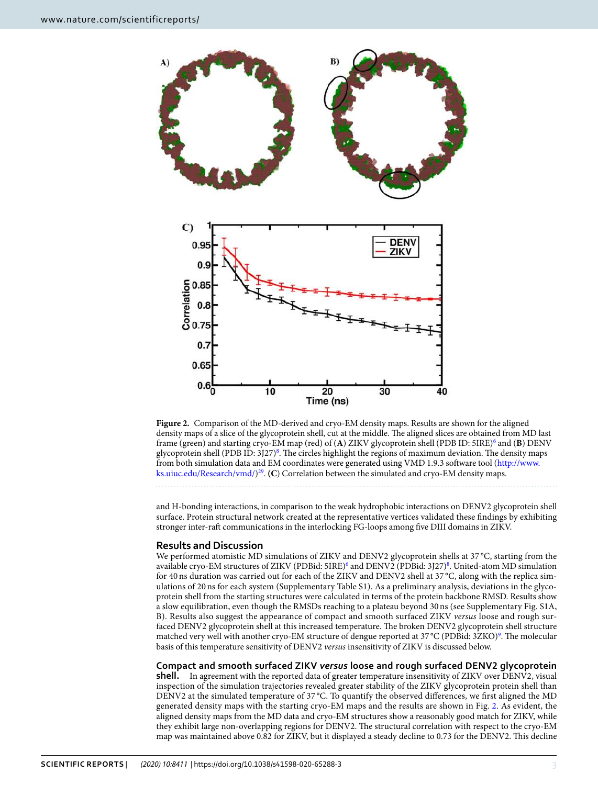

<span id="page-2-0"></span>**Figure 2.** Comparison of the MD-derived and cryo-EM density maps. Results are shown for the aligned density maps of a slice of the glycoprotein shell, cut at the middle. The aligned slices are obtained from MD last frame (green) and starting cryo-EM map (red) of (A) ZIKV glycoprotein shell (PDB ID: 5IRE)<sup>[6](#page-8-5)</sup> and (B) DENV glycoprotein shell (PDB ID: 3J27)<sup>[8](#page-8-7)</sup>. The circles highlight the regions of maximum deviation. The density maps from both simulation data and EM coordinates were generated using VMD 1.9.3 software tool [\(http://www.](http://www.ks.uiuc.edu/Research/vmd/) [ks.uiuc.edu/Research/vmd/](http://www.ks.uiuc.edu/Research/vmd/)) [29](#page-8-14) . **(C**) Correlation between the simulated and cryo-EM density maps.

and H-bonding interactions, in comparison to the weak hydrophobic interactions on DENV2 glycoprotein shell surface. Protein structural network created at the representative vertices validated these findings by exhibiting stronger inter-raft communications in the interlocking FG-loops among five DIII domains in ZIKV.

## **Results and Discussion**

We performed atomistic MD simulations of ZIKV and DENV2 glycoprotein shells at 37 °C, starting from the available cryo-EM structures of ZIKV (PDBid: 5IRE)<sup>[6](#page-8-5)</sup> and DENV2 (PDBid: 3J27)<sup>[8](#page-8-7)</sup>. United-atom MD simulation for 40 ns duration was carried out for each of the ZIKV and DENV2 shell at 37 °C, along with the replica simulations of 20 ns for each system (Supplementary Table S1). As a preliminary analysis, deviations in the glycoprotein shell from the starting structures were calculated in terms of the protein backbone RMSD. Results show a slow equilibration, even though the RMSDs reaching to a plateau beyond 30 ns (see Supplementary Fig. S1A, B). Results also suggest the appearance of compact and smooth surfaced ZIKV versus loose and rough surfaced DENV2 glycoprotein shell at this increased temperature. The broken DENV2 glycoprotein shell structure matched very well with another cryo-EM structure of dengue reported at 37 °C (PDBid: 3ZKO)<sup>[9](#page-8-9)</sup>. The molecular basis of this temperature sensitivity of DENV2 versus insensitivity of ZIKV is discussed below.

**Compact and smooth surfaced ZIKV** *versus* **loose and rough surfaced DENV2 glycoprotein shell.** In agreement with the reported data of greater temperature insensitivity of ZIKV over DENV2, visual inspection of the simulation trajectories revealed greater stability of the ZIKV glycoprotein protein shell than DENV2 at the simulated temperature of 37 °C. To quantify the observed differences, we first aligned the MD generated density maps with the starting cryo-EM maps and the results are shown in Fig. [2.](#page-2-0) As evident, the aligned density maps from the MD data and cryo-EM structures show a reasonably good match for ZIKV, while they exhibit large non-overlapping regions for DENV2. The structural correlation with respect to the cryo-EM map was maintained above 0.82 for ZIKV, but it displayed a steady decline to 0.73 for the DENV2. This decline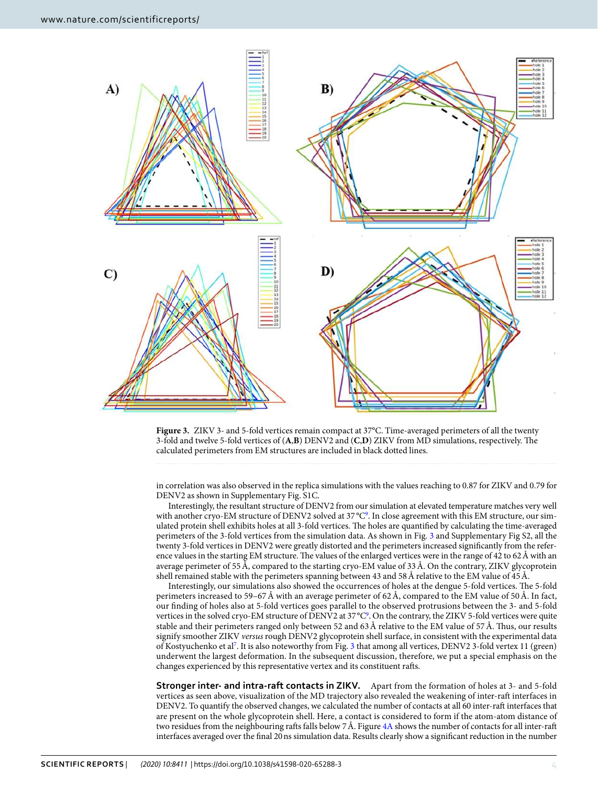

<span id="page-3-0"></span>**Figure 3.** ZIKV 3- and 5-fold vertices remain compact at 37°C. Time-averaged perimeters of all the twenty 3-fold and twelve 5-fold vertices of (**A**,**B**) DENV2 and (**C**,**D**) ZIKV from MD simulations, respectively. The calculated perimeters from EM structures are included in black dotted lines.

in correlation was also observed in the replica simulations with the values reaching to 0.87 for ZIKV and 0.79 for DENV2 as shown in Supplementary Fig. S1C.

Interestingly, the resultant structure of DENV2 from our simulation at elevated temperature matches very well with another cryo-EM structure of DENV2 solved at 37 °C<sup>[9](#page-8-9)</sup>. In close agreement with this EM structure, our simulated protein shell exhibits holes at all 3-fold vertices. The holes are quantified by calculating the time-averaged perimeters of the 3-fold vertices from the simulation data. As shown in Fig. [3](#page-3-0) and Supplementary Fig S2, all the twenty 3-fold vertices in DENV2 were greatly distorted and the perimeters increased significantly from the reference values in the starting EM structure. The values of the enlarged vertices were in the range of 42 to 62 Å with an average perimeter of 55 Å, compared to the starting cryo-EM value of 33 Å. On the contrary, ZIKV glycoprotein shell remained stable with the perimeters spanning between 43 and 58 Å relative to the EM value of 45 Å.

Interestingly, our simulations also showed the occurrences of holes at the dengue 5-fold vertices. The 5-fold perimeters increased to 59–67 Å with an average perimeter of 62 Å, compared to the EM value of 50 Å. In fact, our finding of holes also at 5-fold vertices goes parallel to the observed protrusions between the 3- and 5-fold vertices in the solved cryo-EM structure of DENV2 at 37 °C<sup>[9](#page-8-9)</sup>. On the contrary, the ZIKV 5-fold vertices were quite stable and their perimeters ranged only between 52 and 63 Å relative to the EM value of 57 Å. Thus, our results signify smoother ZIKV versus rough DENV2 glycoprotein shell surface, in consistent with the experimental data of Kostyuchenko et al[7](#page-8-6) . It is also noteworthy from Fig. [3](#page-3-0) that among all vertices, DENV2 3-fold vertex 11 (green) underwent the largest deformation. In the subsequent discussion, therefore, we put a special emphasis on the changes experienced by this representative vertex and its constituent rafts.

**Stronger inter- and intra-raft contacts in ZIKV.** Apart from the formation of holes at 3- and 5-fold vertices as seen above, visualization of the MD trajectory also revealed the weakening of inter-raft interfaces in DENV2. To quantify the observed changes, we calculated the number of contacts at all 60 inter-raft interfaces that are present on the whole glycoprotein shell. Here, a contact is considered to form if the atom-atom distance of two residues from the neighbouring rafts falls below 7 Å. Figure [4A](#page-4-0) shows the number of contacts for all inter-raft interfaces averaged over the final 20 ns simulation data. Results clearly show a significant reduction in the number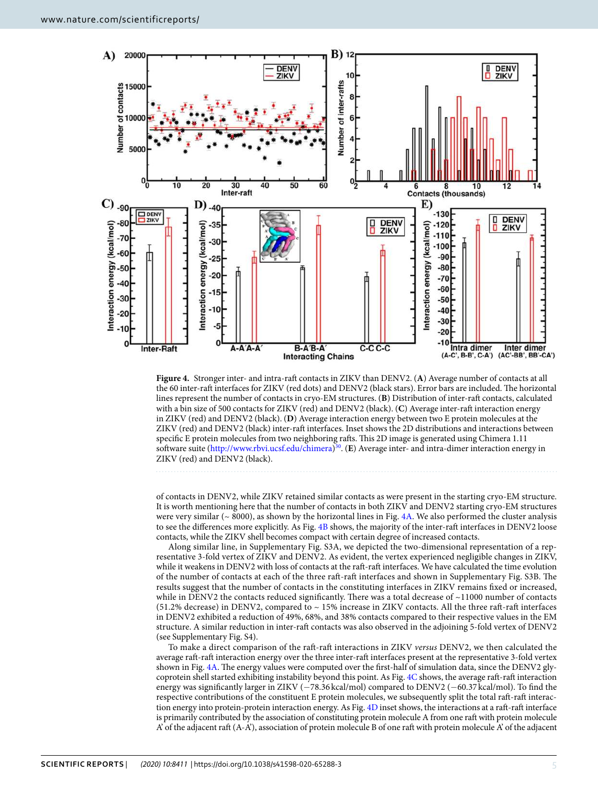

<span id="page-4-0"></span>**Figure 4.** Stronger inter- and intra-raft contacts in ZIKV than DENV2. (**A**) Average number of contacts at all the 60 inter-raft interfaces for ZIKV (red dots) and DENV2 (black stars). Error bars are included. The horizontal lines represent the number of contacts in cryo-EM structures. (**B**) Distribution of inter-raft contacts, calculated with a bin size of 500 contacts for ZIKV (red) and DENV2 (black). (**C**) Average inter-raft interaction energy in ZIKV (red) and DENV2 (black). (**D**) Average interaction energy between two E protein molecules at the ZIKV (red) and DENV2 (black) inter-raft interfaces. Inset shows the 2D distributions and interactions between specific E protein molecules from two neighboring rafts. This 2D image is generated using Chimera 1.11 software suite [\(http://www.rbvi.ucsf.edu/chimera\)](http://www.rbvi.ucsf.edu/chimera) [30](#page-8-13). (**E**) Average inter- and intra-dimer interaction energy in ZIKV (red) and DENV2 (black).

of contacts in DENV2, while ZIKV retained similar contacts as were present in the starting cryo-EM structure. It is worth mentioning here that the number of contacts in both ZIKV and DENV2 starting cryo-EM structures were very similar ( $\sim 8000$ ), as shown by the horizontal lines in Fig. [4A.](#page-4-0) We also performed the cluster analysis to see the differences more explicitly. As Fig. [4B](#page-4-0) shows, the majority of the inter-raft interfaces in DENV2 loose

contacts, while the ZIKV shell becomes compact with certain degree of increased contacts. Along similar line, in Supplementary Fig. S3A, we depicted the two-dimensional representation of a representative 3-fold vertex of ZIKV and DENV2. As evident, the vertex experienced negligible changes in ZIKV, while it weakens in DENV2 with loss of contacts at the raft-raft interfaces. We have calculated the time evolution of the number of contacts at each of the three raft-raft interfaces and shown in Supplementary Fig. S3B. The results suggest that the number of contacts in the constituting interfaces in ZIKV remains fixed or increased, while in DENV2 the contacts reduced significantly. There was a total decrease of ~11000 number of contacts (51.2% decrease) in DENV2, compared to ~ 15% increase in ZIKV contacts. All the three raft-raft interfaces in DENV2 exhibited a reduction of 49%, 68%, and 38% contacts compared to their respective values in the EM structure. A similar reduction in inter-raft contacts was also observed in the adjoining 5-fold vertex of DENV2 (see Supplementary Fig. S4).

To make a direct comparison of the raft-raft interactions in ZIKV versus DENV2, we then calculated the average raft-raft interaction energy over the three inter-raft interfaces present at the representative 3-fold vertex shown in Fig. [4A](#page-4-0). The energy values were computed over the first-half of simulation data, since the DENV2 glycoprotein shell started exhibiting instability beyond this point. As Fig. [4C](#page-4-0) shows, the average raft-raft interaction energy was significantly larger in ZIKV (−78.36 kcal/mol) compared to DENV2 (−60.37 kcal/mol). To find the respective contributions of the constituent E protein molecules, we subsequently split the total raft-raft interaction energy into protein-protein interaction energy. As Fig. [4D](#page-4-0) inset shows, the interactions at a raft-raft interface is primarily contributed by the association of constituting protein molecule A from one raft with protein molecule A' of the adjacent raft  $(A-A')$ , association of protein molecule B of one raft with protein molecule A' of the adjacent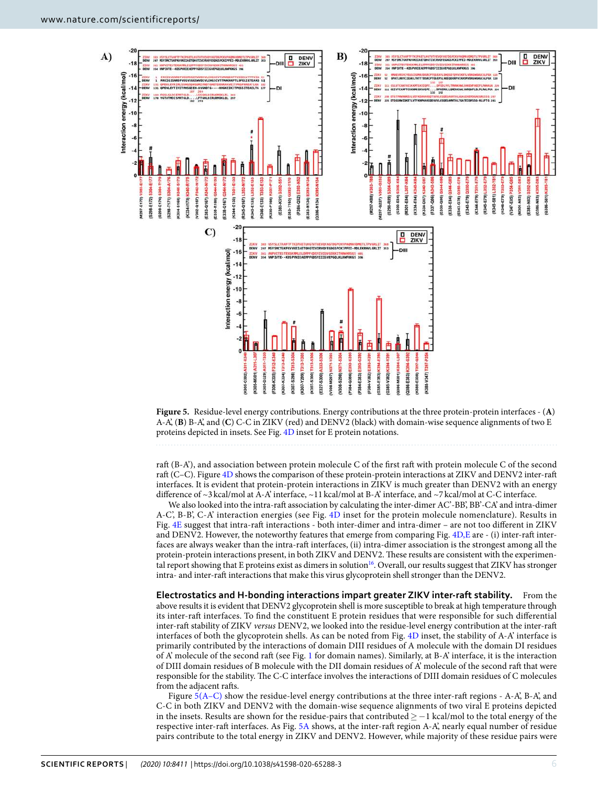

<span id="page-5-0"></span>**Figure 5.** Residue-level energy contributions. Energy contributions at the three protein-protein interfaces - (**A**) A-A', (**B**) B-A', and (**C**) C-C in ZIKV (red) and DENV2 (black) with domain-wise sequence alignments of two E proteins depicted in insets. See Fig. [4D](#page-4-0) inset for E protein notations.

raft (B-A'), and association between protein molecule C of the first raft with protein molecule C of the second raft (C–C). Figure [4D](#page-4-0) shows the comparison of these protein-protein interactions at ZIKV and DENV2 inter-raft interfaces. It is evident that protein-protein interactions in ZIKV is much greater than DENV2 with an energy difference of ~3 kcal/mol at A-A' interface, ~11 kcal/mol at B-A' interface, and ~7 kcal/mol at C-C interface.

We also looked into the intra-raft association by calculating the inter-dimer AC'-BB', BB'-CA' and intra-dimer A-C', B-B', C-A' interaction energies (see Fig. [4D](#page-4-0) inset for the protein molecule nomenclature). Results in Fig. [4E](#page-4-0) suggest that intra-raft interactions - both inter-dimer and intra-dimer – are not too different in ZIKV and DENV2. However, the noteworthy features that emerge from comparing Fig. [4D,E](#page-4-0) are - (i) inter-raft interfaces are always weaker than the intra-raft interfaces, (ii) intra-dimer association is the strongest among all the protein-protein interactions present, in both ZIKV and DENV2. These results are consistent with the experimen-tal report showing that E proteins exist as dimers in solution<sup>[16](#page-8-15)</sup>. Overall, our results suggest that ZIKV has stronger intra- and inter-raft interactions that make this virus glycoprotein shell stronger than the DENV2.

**Electrostatics and H-bonding interactions impart greater ZIKV inter-raft stability.** From the above results it is evident that DENV2 glycoprotein shell is more susceptible to break at high temperature through its inter-raft interfaces. To find the constituent E protein residues that were responsible for such differential inter-raft stability of ZIKV versus DENV2, we looked into the residue-level energy contribution at the inter-raft interfaces of both the glycoprotein shells. As can be noted from Fig. [4D](#page-4-0) inset, the stability of A-A' interface is primarily contributed by the interactions of domain DIII residues of A molecule with the domain DI residues of A' molecule of the second raft (see Fig. [1](#page-1-0) for domain names). Similarly, at B-A' interface, it is the interaction of DIII domain residues of B molecule with the DII domain residues of A' molecule of the second raft that were responsible for the stability. The C-C interface involves the interactions of DIII domain residues of C molecules from the adjacent rafts.

Figure  $5(A-C)$  show the residue-level energy contributions at the three inter-raft regions - A-A', B-A', and C-C in both ZIKV and DENV2 with the domain-wise sequence alignments of two viral E proteins depicted in the insets. Results are shown for the residue-pairs that contributed ≥−1 kcal/mol to the total energy of the respective inter-raft interfaces. As Fig. [5A](#page-5-0) shows, at the inter-raft region A-A', nearly equal number of residue pairs contribute to the total energy in ZIKV and DENV2. However, while majority of these residue pairs were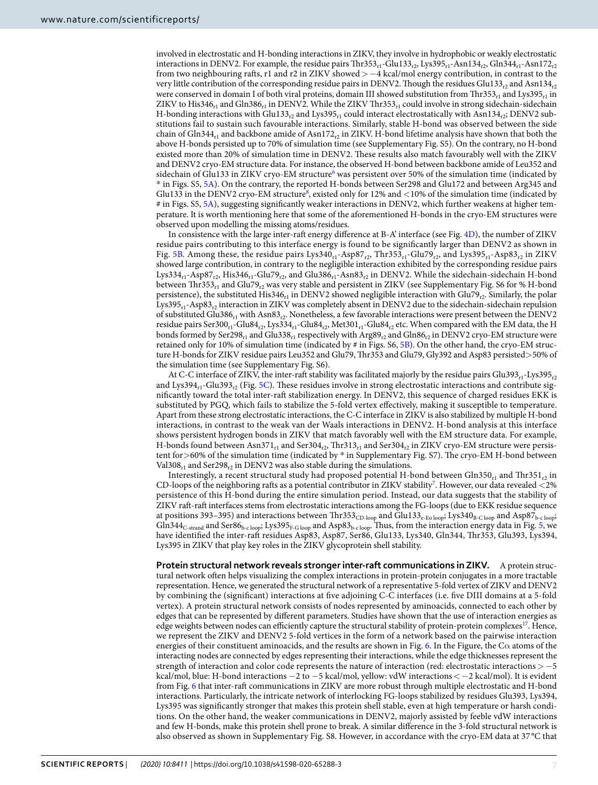involved in electrostatic and H-bonding interactions in ZIKV, they involve in hydrophobic or weakly electrostatic interactions in DENV2. For example, the residue pairs  $Thr353r_1-Glu133r_2$ , Lys $395r_1$ -Asn $134r_2$ , Gln $344r_1$ -Asn $172r_2$ from two neighbouring rafts, r1 and r2 in ZIKV showed >−4 kcal/mol energy contribution, in contrast to the very little contribution of the corresponding residue pairs in DENV2. Though the residues Glu133<sub>r2</sub> and Asn134<sub>r2</sub> were conserved in domain I of both viral proteins, domain III showed substitution from Thr353<sub>r1</sub> and Lys395<sub>r1</sub> in ZIKV to His346<sub>r1</sub> and Gln386<sub>r1</sub> in DENV2. While the ZIKV Thr353<sub>r1</sub> could involve in strong sidechain-sidechain H-bonding interactions with Glu133<sub>r2</sub> and Lys395<sub>r1</sub> could interact electrostatically with Asn134<sub>r2</sub>; DENV2 substitutions fail to sustain such favourable interactions. Similarly, stable H-bond was observed between the side chain of Gln344<sub>r1</sub> and backbone amide of Asn172<sub>r2</sub> in ZIKV. H-bond lifetime analysis have shown that both the above H-bonds persisted up to 70% of simulation time (see Supplementary Fig. S5). On the contrary, no H-bond existed more than 20% of simulation time in DENV2. These results also match favourably well with the ZIKV and DENV2 cryo-EM structure data. For instance, the observed H-bond between backbone amide of Leu352 and sidechain of Glu133 in ZIKV cryo-EM structure<sup>[6](#page-8-5)</sup> was persistent over 50% of the simulation time (indicated by \* in Figs. S5, [5A](#page-5-0)). On the contrary, the reported H-bonds between Ser298 and Glu172 and between Arg345 and Glu133 in the DENV2 cryo-EM structure<sup>[8](#page-8-7)</sup>, existed only for 12% and <10% of the simulation time (indicated by # in Figs. S5, [5A\)](#page-5-0), suggesting significantly weaker interactions in DENV2, which further weakens at higher temperature. It is worth mentioning here that some of the aforementioned H-bonds in the cryo-EM structures were observed upon modelling the missing atoms/residues.

In consistence with the large inter-raft energy difference at B-A' interface (see Fig. [4D](#page-4-0)), the number of ZIKV residue pairs contributing to this interface energy is found to be significantly larger than DENV2 as shown in Fig. [5B.](#page-5-0) Among these, the residue pairs Lys340<sub>r1</sub>-Asp87<sub>r2</sub>, Thr353<sub>r1</sub>-Glu79<sub>r2</sub>, and Lys395<sub>r1</sub>-Asp83<sub>r2</sub> in ZIKV showed large contribution, in contrary to the negligible interaction exhibited by the corresponding residue pairs Lys334<sub>r1</sub>-Asp87<sub>r2</sub>, His346<sub>r1</sub>-Glu79<sub>r2</sub>, and Glu386<sub>r1</sub>-Asn83<sub>r2</sub> in DENV2. While the sidechain-sidechain H-bond between Thr353<sub>r1</sub> and Glu79<sub>r2</sub> was very stable and persistent in ZIKV (see Supplementary Fig. S6 for % H-bond persistence), the substituted His346<sub>r1</sub> in DENV2 showed negligible interaction with Glu79<sub>r2</sub>. Similarly, the polar Lys395<sub>r1</sub>-Asp83<sub>r2</sub> interaction in ZIKV was completely absent in DENV2 due to the sidechain-sidechain repulsion of substituted Glu386<sub>r1</sub> with Asn83<sub>r2</sub>. Nonetheless, a few favorable interactions were present between the DENV2 residue pairs Ser300<sub>r1</sub>-Glu84<sub>r2</sub>, Lys334<sub>r1</sub>-Glu84<sub>r2</sub>, Met301<sub>r1</sub>-Glu84<sub>r2</sub> etc. When compared with the EM data, the H bonds formed by Ser298<sub>r1</sub> and Glu338<sub>r1</sub> respectively with Arg89<sub>r2</sub> and Gln86<sub>r2</sub> in DENV2 cryo-EM structure were retained only for 10% of simulation time (indicated by # in Figs. S6, [5B](#page-5-0)). On the other hand, the cryo-EM structure H-bonds for ZIKV residue pairs Leu352 and Glu79, Thr353 and Glu79, Gly392 and Asp83 persisted>50% of the simulation time (see Supplementary Fig. S6).

At C-C interface of ZIKV, the inter-raft stability was facilitated majorly by the residue pairs Glu393<sub>r1</sub>-Lys395<sub>r2</sub> and Lys394<sub>r1</sub>-Glu393<sub>r2</sub> (Fig. [5C](#page-5-0)). These residues involve in strong electrostatic interactions and contribute significantly toward the total inter-raft stabilization energy. In DENV2, this sequence of charged residues EKK is substituted by PGQ, which fails to stabilize the 5-fold vertex effectively, making it susceptible to temperature. Apart from these strong electrostatic interactions, the C-C interface in ZIKV is also stabilized by multiple H-bond interactions, in contrast to the weak van der Waals interactions in DENV2. H-bond analysis at this interface shows persistent hydrogen bonds in ZIKV that match favorably well with the EM structure data. For example, H-bonds found between  $Asn371_{r1}$  and  $Ser304_{r2}$ , Thr313<sub>r1</sub> and Ser304<sub>r2</sub> in ZIKV cryo-EM structure were persistent for >60% of the simulation time (indicated by \* in Supplementary Fig. S7). The cryo-EM H-bond between Val $308_{r1}$  and Ser29 $8_{r2}$  in DENV2 was also stable during the simulations.

Interestingly, a recent structural study had proposed potential H-bond between Gln350<sub>r1</sub> and Thr351<sub>r2</sub> in CD-loops of the neighboring rafts as a potential contributor in ZIKV stability<sup>[7](#page-8-6)</sup>. However, our data revealed  $<$ 2% persistence of this H-bond during the entire simulation period. Instead, our data suggests that the stability of ZIKV raft-raft interfaces stems from electrostatic interactions among the FG-loops (due to EKK residue sequence at positions 393–395) and interactions between Thr353<sub>CD-loop</sub> and Glu133<sub>e-Eo loop</sub>; Lys340<sub>B-C loop</sub> and Asp87<sub>b-c loop</sub>; Gln344<sub>C-strand</sub> and Ser86<sub>b-cloop</sub>; Lys395<sub>F-G loop</sub> and Asp83<sub>b-cloop</sub>. Thus, from the interaction energy data in Fig. [5,](#page-5-0) we have identified the inter-raft residues Asp83, Asp87, Ser86, Glu133, Lys340, Gln344, Thr353, Glu393, Lys394, Lys395 in ZIKV that play key roles in the ZIKV glycoprotein shell stability.

**Protein structural network reveals stronger inter-raft communications in ZIKV.** A protein structural network often helps visualizing the complex interactions in protein-protein conjugates in a more tractable representation. Hence, we generated the structural network of a representative 5-fold vertex of ZIKV and DENV2 by combining the (significant) interactions at five adjoining C-C interfaces (i.e. five DIII domains at a 5-fold vertex). A protein structural network consists of nodes represented by aminoacids, connected to each other by edges that can be represented by different parameters. Studies have shown that the use of interaction energies as edge weights between nodes can efficiently capture the structural stability of protein-protein complexes<sup>[17](#page-8-16)</sup>. Hence, we represent the ZIKV and DENV2 5-fold vertices in the form of a network based on the pairwise interaction energies of their constituent aminoacids, and the results are shown in Fig. [6.](#page-7-0) In the Figure, the  $C\alpha$  atoms of the interacting nodes are connected by edges representing their interactions, while the edge thicknesses represent the strength of interaction and color code represents the nature of interaction (red: electrostatic interactions >−5 kcal/mol, blue: H-bond interactions −2 to −5 kcal/mol, yellow: vdW interactions <−2 kcal/mol). It is evident from Fig. [6](#page-7-0) that inter-raft communications in ZIKV are more robust through multiple electrostatic and H-bond interactions. Particularly, the intricate network of interlocking FG-loops stabilized by residues Glu393, Lys394, Lys395 was significantly stronger that makes this protein shell stable, even at high temperature or harsh conditions. On the other hand, the weaker communications in DENV2, majorly assisted by feeble vdW interactions and few H-bonds, make this protein shell prone to break. A similar difference in the 3-fold structural network is also observed as shown in Supplementary Fig. S8. However, in accordance with the cryo-EM data at 37 °C that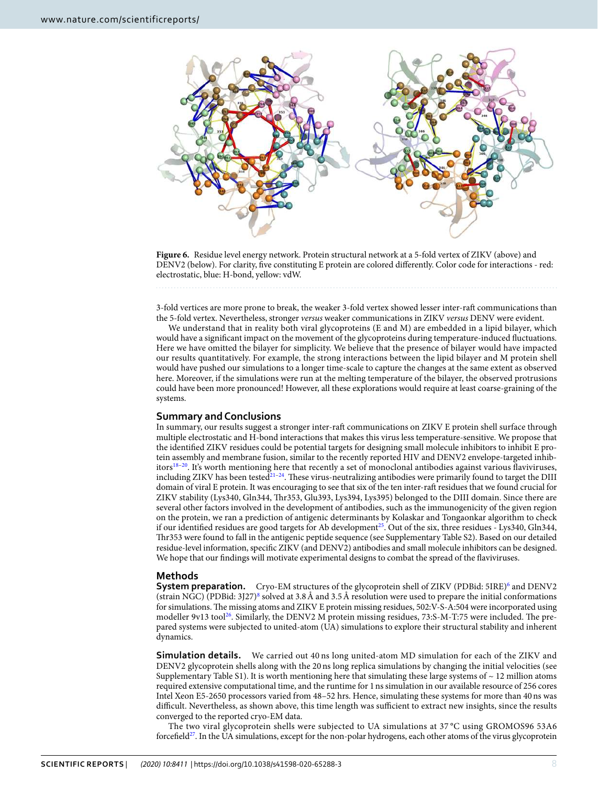

<span id="page-7-0"></span>Figure 6. Residue level energy network. Protein structural network at a 5-fold vertex of ZIKV (above) and DENV2 (below). For clarity, five constituting E protein are colored differently. Color code for interactions - red: electrostatic, blue: H-bond, yellow: vdW.

3-fold vertices are more prone to break, the weaker 3-fold vertex showed lesser inter-raft communications than the 5-fold vertex. Nevertheless, stronger versus weaker communications in ZIKV versus DENV were evident.

We understand that in reality both viral glycoproteins (E and M) are embedded in a lipid bilayer, which would have a significant impact on the movement of the glycoproteins during temperature-induced fluctuations. Here we have omitted the bilayer for simplicity. We believe that the presence of bilayer would have impacted our results quantitatively. For example, the strong interactions between the lipid bilayer and M protein shell would have pushed our simulations to a longer time-scale to capture the changes at the same extent as observed here. Moreover, if the simulations were run at the melting temperature of the bilayer, the observed protrusions could have been more pronounced! However, all these explorations would require at least coarse-graining of the systems.

#### **Summary and Conclusions**

In summary, our results suggest a stronger inter-raft communications on ZIKV E protein shell surface through multiple electrostatic and H-bond interactions that makes this virus less temperature-sensitive. We propose that the identified ZIKV residues could be potential targets for designing small molecule inhibitors to inhibit E protein assembly and membrane fusion, similar to the recently reported HIV and DENV2 envelope-targeted inhib-itors<sup>[18–](#page-8-17)[20](#page-8-18)</sup>. It's worth mentioning here that recently a set of monoclonal antibodies against various flaviviruses, including ZIKV has been tested<sup>[21](#page-8-19)-[24](#page-8-20)</sup>. These virus-neutralizing antibodies were primarily found to target the DIII domain of viral E protein. It was encouraging to see that six of the ten inter-raft residues that we found crucial for ZIKV stability (Lys340, Gln344, Thr353, Glu393, Lys394, Lys395) belonged to the DIII domain. Since there are several other factors involved in the development of antibodies, such as the immunogenicity of the given region on the protein, we ran a prediction of antigenic determinants by Kolaskar and Tongaonkar algorithm to check if our identified residues are good targets for Ab development<sup>[25](#page-8-21)</sup>. Out of the six, three residues - Lys340, Gln344, Thr353 were found to fall in the antigenic peptide sequence (see Supplementary Table S2). Based on our detailed residue-level information, specific ZIKV (and DENV2) antibodies and small molecule inhibitors can be designed. We hope that our findings will motivate experimental designs to combat the spread of the flaviviruses.

#### **Methods**

**System preparation.** Cryo-EM structures of the glycoprotein shell of ZIKV (PDBid: 5IRE)<sup>[6](#page-8-5)</sup> and DENV2 (strain NGC) (PDBid: 3J27)[8](#page-8-7) solved at 3.8 Å and 3.5 Å resolution were used to prepare the initial conformations for simulations. The missing atoms and ZIKV E protein missing residues, 502:V-S-A:504 were incorporated using modeller 9v13 tool<sup>[26](#page-8-22)</sup>. Similarly, the DENV2 M protein missing residues, 73:S-M-T:75 were included. The prepared systems were subjected to united-atom (UA) simulations to explore their structural stability and inherent dynamics.

**Simulation details.** We carried out 40 ns long united-atom MD simulation for each of the ZIKV and DENV2 glycoprotein shells along with the 20 ns long replica simulations by changing the initial velocities (see Supplementary Table S1). It is worth mentioning here that simulating these large systems of  $\sim$  12 million atoms required extensive computational time, and the runtime for 1 ns simulation in our available resource of 256 cores Intel Xeon E5-2650 processors varied from 48–52 hrs. Hence, simulating these systems for more than 40 ns was difficult. Nevertheless, as shown above, this time length was sufficient to extract new insights, since the results converged to the reported cryo-EM data.

The two viral glycoprotein shells were subjected to UA simulations at 37 °C using GROMOS96 53A6 forcefield<sup>[27](#page-8-23)</sup>. In the UA simulations, except for the non-polar hydrogens, each other atoms of the virus glycoprotein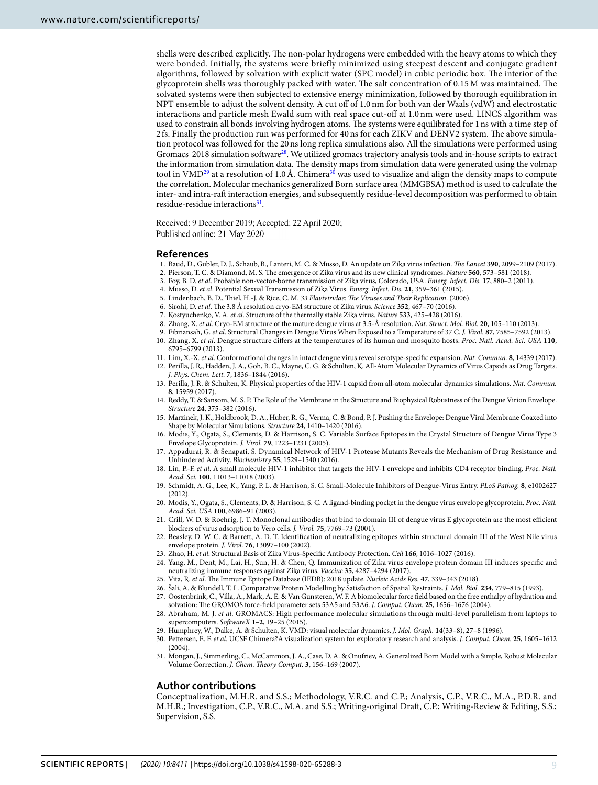shells were described explicitly. The non-polar hydrogens were embedded with the heavy atoms to which they were bonded. Initially, the systems were briefly minimized using steepest descent and conjugate gradient algorithms, followed by solvation with explicit water (SPC model) in cubic periodic box. The interior of the glycoprotein shells was thoroughly packed with water. The salt concentration of 0.15 M was maintained. The solvated systems were then subjected to extensive energy minimization, followed by thorough equilibration in NPT ensemble to adjust the solvent density. A cut off of 1.0 nm for both van der Waals (vdW) and electrostatic interactions and particle mesh Ewald sum with real space cut-off at 1.0 nm were used. LINCS algorithm was used to constrain all bonds involving hydrogen atoms. The systems were equilibrated for 1 ns with a time step of 2 fs. Finally the production run was performed for 40 ns for each ZIKV and DENV2 system. The above simulation protocol was followed for the 20 ns long replica simulations also. All the simulations were performed using Gromacs 2018 simulation software<sup>[28](#page-8-24)</sup>. We utilized gromacs trajectory analysis tools and in-house scripts to extract the information from simulation data. The density maps from simulation data were generated using the volmap tool in VMD<sup>[29](#page-8-14)</sup> at a resolution of 1.0 Å. Chimera<sup>[30](#page-8-13)</sup> was used to visualize and align the density maps to compute the correlation. Molecular mechanics generalized Born surface area (MMGBSA) method is used to calculate the inter- and intra-raft interaction energies, and subsequently residue-level decomposition was performed to obtain residue-residue interactions<sup>[31](#page-8-25)</sup>.

Received: 9 December 2019; Accepted: 22 April 2020; Published online: 21 May 2020

#### **References**

- <span id="page-8-0"></span>1. Baud, D., Gubler, D. J., Schaub, B., Lanteri, M. C. & Musso, D. An update on Zika virus infection. The Lancet **390**, 2099–2109 (2017).
- <span id="page-8-1"></span>2. Pierson, T. C. & Diamond, M. S. The emergence of Zika virus and its new clinical syndromes. Nature **560**, 573–581 (2018).
- <span id="page-8-2"></span>3. Foy, B. D. et al. Probable non-vector-borne transmission of Zika virus, Colorado, USA. Emerg. Infect. Dis. **17**, 880–2 (2011).
- <span id="page-8-3"></span>4. Musso, D. et al. Potential Sexual Transmission of Zika Virus. Emerg. Infect. Dis. **21**, 359–361 (2015).
- <span id="page-8-4"></span>5. Lindenbach, B. D., Thiel, H.-J. & Rice, C. M. 33 Flaviviridae: The Viruses and Their Replication. (2006).
- <span id="page-8-5"></span>6. Sirohi, D. et al. The 3.8 Å resolution cryo-EM structure of Zika virus. Science **352**, 467–70 (2016).
- <span id="page-8-6"></span>7. Kostyuchenko, V. A. et al. Structure of the thermally stable Zika virus. Nature **533**, 425–428 (2016).
- <span id="page-8-7"></span>8. Zhang, X. et al. Cryo-EM structure of the mature dengue virus at 3.5-Å resolution. Nat. Struct. Mol. Biol. **20**, 105–110 (2013).
- <span id="page-8-9"></span>9. Fibriansah, G. et al. Structural Changes in Dengue Virus When Exposed to a Temperature of 37 C. J. Virol. **87**, 7585–7592 (2013).
- <span id="page-8-8"></span> 10. Zhang, X. et al. Dengue structure differs at the temperatures of its human and mosquito hosts. Proc. Natl. Acad. Sci. USA **110**, 6795–6799 (2013).
- <span id="page-8-11"></span><span id="page-8-10"></span> 11. Lim, X.-X. et al. Conformational changes in intact dengue virus reveal serotype-specific expansion. Nat. Commun. **8**, 14339 (2017). 12. Perilla, J. R., Hadden, J. A., Goh, B. C., Mayne, C. G. & Schulten, K. All-Atom Molecular Dynamics of Virus Capsids as Drug Targets. J. Phys. Chem. Lett. **7**, 1836–1844 (2016).
- 13. Perilla, J. R. & Schulten, K. Physical properties of the HIV-1 capsid from all-atom molecular dynamics simulations. Nat. Commun. **8**, 15959 (2017).
- 14. Reddy, T. & Sansom, M. S. P. The Role of the Membrane in the Structure and Biophysical Robustness of the Dengue Virion Envelope. Structure **24**, 375–382 (2016).
- <span id="page-8-12"></span> 15. Marzinek, J. K., Holdbrook, D. A., Huber, R. G., Verma, C. & Bond, P. J. Pushing the Envelope: Dengue Viral Membrane Coaxed into Shape by Molecular Simulations. Structure **24**, 1410–1420 (2016).
- <span id="page-8-15"></span> 16. Modis, Y., Ogata, S., Clements, D. & Harrison, S. C. Variable Surface Epitopes in the Crystal Structure of Dengue Virus Type 3 Envelope Glycoprotein. J. Virol. **79**, 1223–1231 (2005).
- <span id="page-8-16"></span> 17. Appadurai, R. & Senapati, S. Dynamical Network of HIV-1 Protease Mutants Reveals the Mechanism of Drug Resistance and Unhindered Activity. Biochemistry **55**, 1529–1540 (2016).
- <span id="page-8-17"></span> 18. Lin, P.-F. et al. A small molecule HIV-1 inhibitor that targets the HIV-1 envelope and inhibits CD4 receptor binding. Proc. Natl. Acad. Sci. **100**, 11013–11018 (2003).
- 19. Schmidt, A. G., Lee, K., Yang, P. L. & Harrison, S. C. Small-Molecule Inhibitors of Dengue-Virus Entry. PLoS Pathog. **8**, e1002627 (2012).
- <span id="page-8-18"></span> 20. Modis, Y., Ogata, S., Clements, D. & Harrison, S. C. A ligand-binding pocket in the dengue virus envelope glycoprotein. Proc. Natl. Acad. Sci. USA **100**, 6986–91 (2003).
- <span id="page-8-19"></span> 21. Crill, W. D. & Roehrig, J. T. Monoclonal antibodies that bind to domain III of dengue virus E glycoprotein are the most efficient blockers of virus adsorption to Vero cells. J. Virol. **75**, 7769–73 (2001).
- 22. Beasley, D. W. C. & Barrett, A. D. T. Identification of neutralizing epitopes within structural domain III of the West Nile virus envelope protein. J. Virol. **76**, 13097–100 (2002).
- 23. Zhao, H. et al. Structural Basis of Zika Virus-Specific Antibody Protection. Cell **166**, 1016–1027 (2016).
- <span id="page-8-20"></span> 24. Yang, M., Dent, M., Lai, H., Sun, H. & Chen, Q. Immunization of Zika virus envelope protein domain III induces specific and neutralizing immune responses against Zika virus. Vaccine **35**, 4287–4294 (2017).
- <span id="page-8-21"></span>25. Vita, R. et al. The Immune Epitope Database (IEDB): 2018 update. Nucleic Acids Res. **47**, 339–343 (2018).
- <span id="page-8-22"></span>26. Šali, A. & Blundell, T. L. Comparative Protein Modelling by Satisfaction of Spatial Restraints. J. Mol. Biol. **234**, 779–815 (1993).
- <span id="page-8-23"></span>27. Oostenbrink, C., Villa, A., Mark, A. E. & Van Gunsteren, W. F. A biomolecular force field based on the free enthalpy of hydration and
- solvation: The GROMOS force-field parameter sets 53A5 and 53A6. J. Comput. Chem. **25**, 1656–1676 (2004).
- <span id="page-8-24"></span> 28. Abraham, M. J. et al. GROMACS: High performance molecular simulations through multi-level parallelism from laptops to supercomputers. SoftwareX **1–2**, 19–25 (2015).
- <span id="page-8-14"></span>29. Humphrey, W., Dalke, A. & Schulten, K. VMD: visual molecular dynamics. J. Mol. Graph. **14**(33–8), 27–8 (1996).
- <span id="page-8-13"></span> 30. Pettersen, E. F. et al. UCSF Chimera?A visualization system for exploratory research and analysis. J. Comput. Chem. **25**, 1605–1612 (2004).
- <span id="page-8-25"></span> 31. Mongan, J., Simmerling, C., McCammon, J. A., Case, D. A. & Onufriev, A. Generalized Born Model with a Simple, Robust Molecular Volume Correction. J. Chem. Theory Comput. **3**, 156–169 (2007).

#### **Author contributions**

Conceptualization, M.H.R. and S.S.; Methodology, V.R.C. and C.P.; Analysis, C.P., V.R.C., M.A., P.D.R. and M.H.R.; Investigation, C.P., V.R.C., M.A. and S.S.; Writing-original Draft, C.P.; Writing-Review & Editing, S.S.; Supervision, S.S.